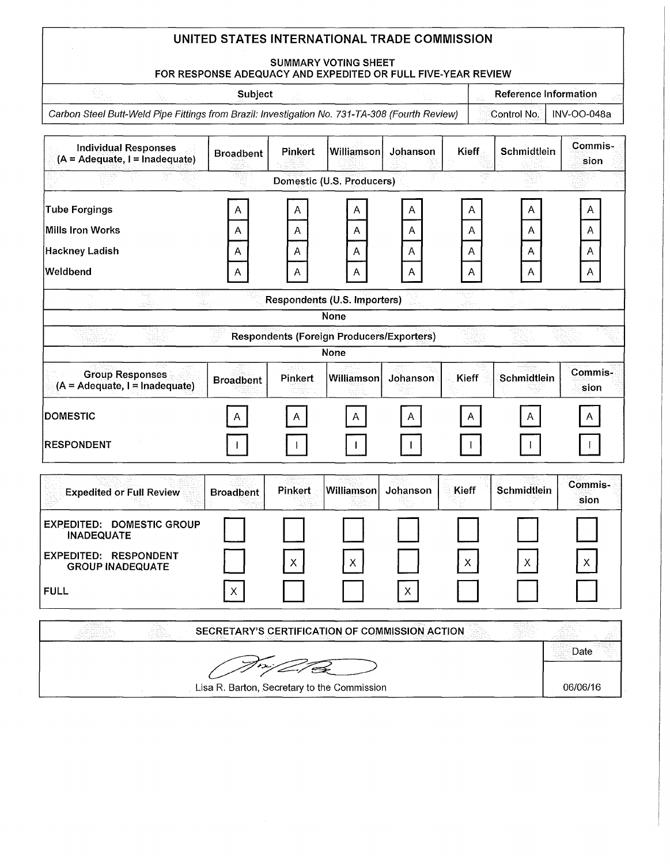### **SUMMARY VOTING SHEET**

### **FOR RESPONSE ADEQUACY AND EXPEDITED OR FULL FIVE-YEAR REVIEW**

**Subject Reference Information Reference Information** 

Carbon Steel Butt-Weld Pipe Fittings from Brazil: Investigation No. 731-TA-308 (Fourth Review) **Control No. | INV-OO-048a** 

| <b>Individual Responses</b><br>$(A = Adequate, I = Indeeduate)$ | <b>Broadbent</b>                               | <b>Pinkert</b> | Williamson                                       | Johanson     | Kieff        | Schmidtlein | Commis-<br>sion        |
|-----------------------------------------------------------------|------------------------------------------------|----------------|--------------------------------------------------|--------------|--------------|-------------|------------------------|
|                                                                 |                                                |                | Domestic (U.S. Producers)                        |              |              |             |                        |
| <b>Tube Forgings</b>                                            | A                                              | A              | A                                                | A            | A            | А           | A                      |
| <b>Mills Iron Works</b>                                         | Α                                              | Α              | A                                                | Α            | Α            | Α           | Α                      |
| <b>Hackney Ladish</b>                                           | Α                                              | Α              | Α                                                | А            | Α            | Α           | A                      |
| Weldbend                                                        | A                                              | A              | A                                                | Α            | A            | Α           | Α                      |
| 노래<br>Sini.                                                     |                                                |                | Respondents (U.S. Importers)                     |              | aj Po        |             |                        |
|                                                                 |                                                |                | <b>None</b>                                      |              |              |             |                        |
|                                                                 |                                                |                | <b>Respondents (Foreign Producers/Exporters)</b> |              |              |             |                        |
|                                                                 |                                                |                | None                                             |              |              |             |                        |
| <b>Group Responses</b><br>$(A = Adequate, I = Indequate)$       | <b>Broadbent</b>                               | Pinkert        | Williamson                                       | Johanson     | Kieff        | Schmidtlein | Commis-<br>sion        |
| <b>DOMESTIC</b>                                                 | A.                                             | A              | A                                                | Α            | A            |             |                        |
| <b>RESPONDENT</b>                                               |                                                |                |                                                  |              |              |             |                        |
| <b>Expedited or Full Review</b>                                 | <b>Broadbent</b>                               | <b>Pinkert</b> | Williamson                                       | Johanson     | Kieff        | Schmidtlein | <b>Commis-</b><br>sion |
| <b>EXPEDITED: DOMESTIC GROUP</b><br><b>INADEQUATE</b>           |                                                |                |                                                  |              |              |             |                        |
| <b>EXPEDITED: RESPONDENT</b><br><b>GROUP INADEQUATE</b>         |                                                | $\mathsf{X}$   | $\mathsf{X}$                                     |              | $\mathsf{X}$ | Х           | $\mathsf{X}$           |
| <b>FULL</b>                                                     | $\mathsf X$                                    |                |                                                  | $\mathsf{X}$ |              |             |                        |
|                                                                 | SECRETARY'S CERTIFICATION OF COMMISSION ACTION |                |                                                  |              |              |             |                        |
|                                                                 |                                                |                |                                                  |              |              |             | Date                   |
|                                                                 | Lisa R. Barton, Secretary to the Commission    |                |                                                  |              |              |             | 06/06/16               |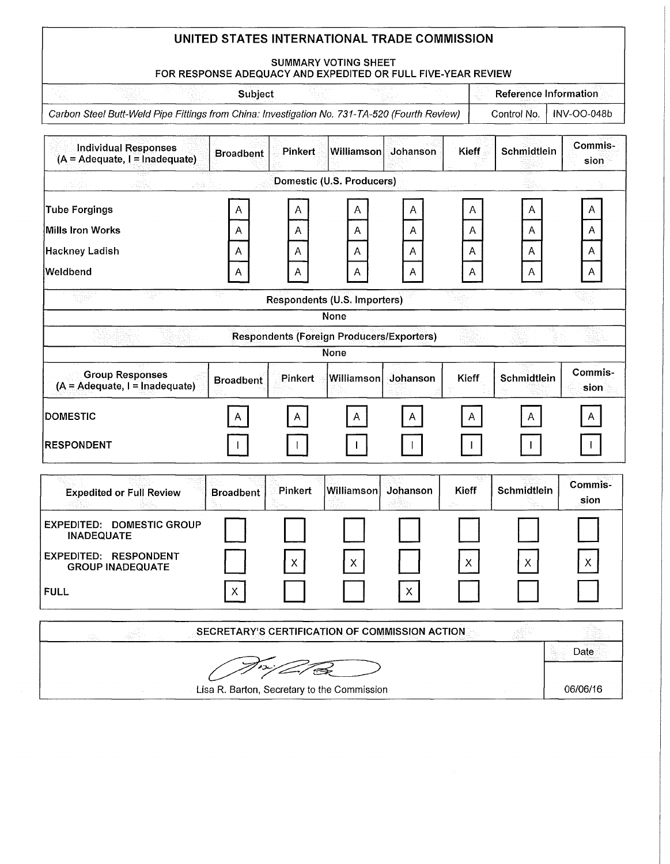### **SUMMARY VOTING SHEET**

## **FOR RESPONSE ADEQUACY AND EXPEDITED OR FULL FIVE-YEAR REVIEW**

**Subject Subject Reference Information** 

Carbon Steel Butt-Weld Pipe Fittings from China: Investigation No. 731-TA-520 (Fourth Review) **Control No. | INV-OO-048b** 

**06/06/16** 

| <b>Individual Responses</b><br>$(A = Adequate, I = Indeeduate)$          | <b>Broadbent</b> | <b>Pinkert</b> | <b>Williamson</b>                                | Johanson       | <b>Kieff</b> | Schmidtlein | Commis-<br>sion |
|--------------------------------------------------------------------------|------------------|----------------|--------------------------------------------------|----------------|--------------|-------------|-----------------|
|                                                                          | unda Dun         |                | Domestic (U.S. Producers)                        |                |              |             |                 |
| <b>Tube Forgings</b><br><b>Mills Iron Works</b><br><b>Hackney Ladish</b> | A<br>A<br>A      | Α<br>A<br>A    | Α<br>A<br>Α                                      | A<br>A<br>A    | Α<br>Α<br>Α  | Α<br>Α<br>A | A<br>Α<br>Α     |
| Weldbend                                                                 | A                | A              | A                                                | $\overline{A}$ | A            | Α           | A               |
| χÿ<br>agilê                                                              |                  |                | Respondents (U.S. Importers)                     |                |              |             |                 |
|                                                                          |                  |                | None                                             |                |              |             |                 |
|                                                                          |                  |                | <b>Respondents (Foreign Producers/Exporters)</b> |                |              |             |                 |
|                                                                          |                  |                | <b>None</b>                                      |                |              |             |                 |
| <b>Group Responses</b><br>(A = Adequate, I = Inadequate)                 | <b>Broadbent</b> | <b>Pinkert</b> | Williamson                                       | Johanson       | <b>Kieff</b> | Schmidtlein | Commis-<br>sion |
| <b>DOMESTIC</b>                                                          | A                |                | A                                                | A              | A            |             |                 |
| <b>RESPONDENT</b>                                                        |                  |                |                                                  |                |              |             |                 |
| <b>Expedited or Full Review</b>                                          | <b>Broadbent</b> | Pinkert        | Williamson                                       | Johanson       | Kieff        | Schmidtlein | Commis-<br>sion |
| <b>EXPEDITED: DOMESTIC GROUP</b><br><b>INADEQUATE</b>                    |                  |                |                                                  |                |              |             |                 |
| EXPEDITED: RESPONDENT<br><b>GROUP INADEQUATE</b>                         |                  | X.             | X.                                               |                | X.           | Х           | х               |
| <b>FULL</b>                                                              | X                |                |                                                  | $\pmb{\times}$ |              |             |                 |
|                                                                          |                  |                | SECRETARY'S CERTIFICATION OF COMMISSION ACTION   |                |              |             |                 |
|                                                                          |                  |                |                                                  |                |              |             | Date            |

**Lisa R. Barton, Secretary to the Commission**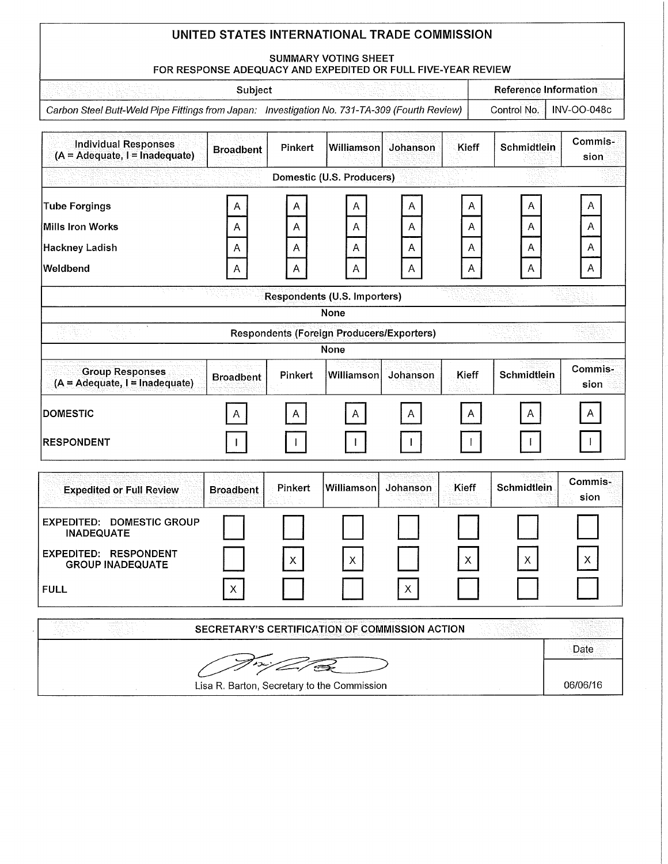### **SUMMARY VOTING SHEET FOR RESPONSE ADEQUACY AND EXPEDITED OR FULL FIVE-YEAR REVIEW**

| こうしょう しょくしゅく クライト・マーク<br>2호 연주 학급 등 하고 있다. 그 사람들이 그리고 있다. | Subject |                                                                                               | <b>Reference Information</b> |
|-----------------------------------------------------------|---------|-----------------------------------------------------------------------------------------------|------------------------------|
|                                                           |         | Carbon Steel Butt-Weld Pipe Fittings from Japan: Investigation No. 731-TA-309 (Fourth Review) | Control No.   INV-OO-048c    |

| <b>Individual Responses</b><br>$(A = Adequate, I = Indeeduate)$ | <b>Broadbent</b>                               | Pinkert | Williamson                                               | Johanson    | Kieff  | Schmidtlein  | Commis-<br>sion |
|-----------------------------------------------------------------|------------------------------------------------|---------|----------------------------------------------------------|-------------|--------|--------------|-----------------|
|                                                                 |                                                |         | Domestic (U.S. Producers)                                |             |        |              |                 |
| <b>Tube Forgings</b><br><b>Mills Iron Works</b>                 | A                                              |         | Α                                                        | A<br>A      | A<br>A | A<br>A       | A<br>A          |
| <b>Hackney Ladish</b>                                           | A<br>Α                                         | Α<br>Α  | Α<br>Α                                                   | Α           | A      | A            | Α               |
| Weldbend                                                        | Α                                              | А       | Α                                                        | A           | A      | A            | A               |
|                                                                 |                                                |         | Respondents (U.S. Importers)                             |             |        |              |                 |
|                                                                 |                                                |         | <b>None</b>                                              |             |        |              |                 |
| ы.                                                              |                                                |         | <b>Respondents (Foreign Producers/Exporters)</b><br>None |             |        |              |                 |
| <b>Group Responses</b><br>(A = Adequate, I = Inadequate)        | <b>Broadbent</b>                               | Pinkert | Williamson                                               | Johanson    | Kieff  | Schmidtlein  | Commis-<br>sion |
| <b>DOMESTIC</b>                                                 | $\overline{\mathsf{A}}$                        | A       | A                                                        | A           | A      | A            | $\mathsf A$     |
| <b>RESPONDENT</b>                                               |                                                |         |                                                          |             |        |              |                 |
| <b>Expedited or Full Review</b>                                 | <b>Broadbent</b>                               | Pinkert | Williamson                                               | Johanson    | Kieff  | Schmidtlein  | Commis-<br>sion |
| <b>EXPEDITED: DOMESTIC GROUP</b><br><b>INADEQUATE</b>           |                                                |         |                                                          |             |        |              |                 |
| EXPEDITED: RESPONDENT<br><b>GROUP INADEQUATE</b>                |                                                | X.      | X                                                        |             | X.     | $\mathsf{X}$ | X.              |
| <b>FULL</b>                                                     | X                                              |         |                                                          | $\mathsf X$ |        |              |                 |
|                                                                 | SECRETARY'S CERTIFICATION OF COMMISSION ACTION |         |                                                          |             |        |              |                 |
|                                                                 |                                                |         |                                                          |             |        |              | Date            |
|                                                                 | Lisa R. Barton, Secretary to the Commission    |         |                                                          |             |        |              | 06/06/16        |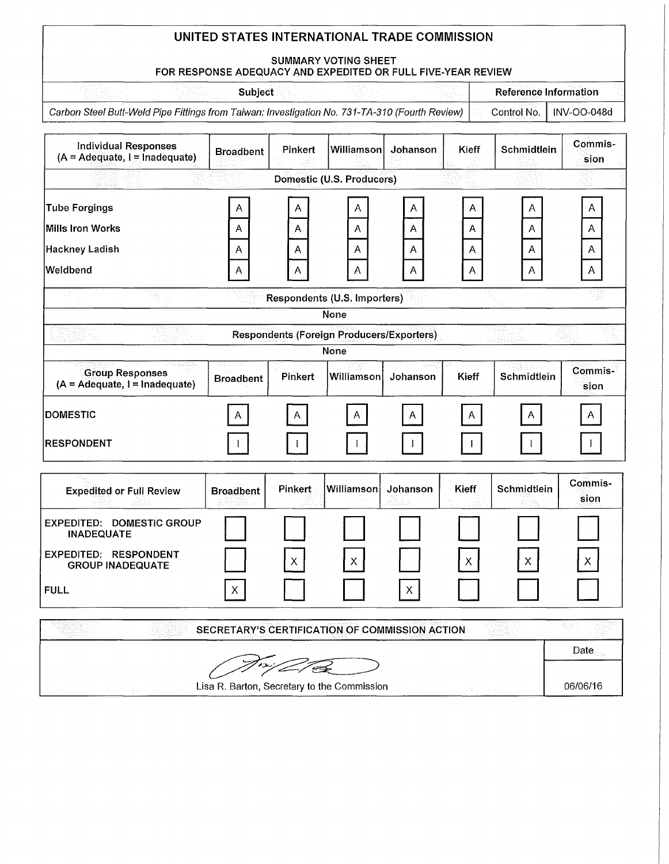#### **SUMMARY VOTING SHEET**

# **FOR RESPONSE ADEQUACY AND EXPEDITED OR FULL FIVE-YEAR REVIEW**

**Subject Reference Information Reference Information** 

Carbon Steel Butt-Weld Pipe Fittings from Taiwan: Investigation No. 731-TA-310 (Fourth Review) **Control No. | INV-OO-048d** 

| <b>Individual Responses</b><br>$(A = Adequate, I = Indeeduate)$          | <b>Broadbent</b>                               | Pinkert     | Williamson                                               | Johanson    | Kieff        | Schmidtlein | Commis-<br>sion |
|--------------------------------------------------------------------------|------------------------------------------------|-------------|----------------------------------------------------------|-------------|--------------|-------------|-----------------|
|                                                                          |                                                |             | Domestic (U.S. Producers)                                |             |              |             |                 |
| <b>Tube Forgings</b><br><b>Mills Iron Works</b><br><b>Hackney Ladish</b> | A<br>Α<br>A                                    | A<br>Α<br>Α | Α<br>Α<br>A                                              | A<br>Α<br>Α | A<br>A<br>A  | A<br>Α<br>Α | A<br>Α<br>Α     |
| Weldbend                                                                 | A                                              | A           | A                                                        | A           | A            | Α           | $\overline{A}$  |
|                                                                          |                                                |             | Respondents (U.S. Importers)<br><b>None</b>              |             |              |             |                 |
|                                                                          |                                                |             | <b>Respondents (Foreign Producers/Exporters)</b><br>None |             |              |             |                 |
| <b>Group Responses</b><br>$(A = Adequate, I = Indeeduate)$               | <b>Broadbent</b>                               | Pinkert     | Williamson                                               | Johanson    | Kieff        | Schmidtlein | Commis-<br>sion |
| <b>DOMESTIC</b>                                                          | A                                              | Α           | A                                                        | A           | A            | Α           | Α               |
| <b>RESPONDENT</b>                                                        |                                                |             |                                                          |             |              |             |                 |
| <b>Expedited or Full Review</b><br>an N                                  | <b>Broadbent</b>                               | Pinkert     | Williamson                                               | Johanson    | <b>Kieff</b> | Schmidtlein | Commis-<br>sion |
| <b>EXPEDITED: DOMESTIC GROUP</b><br><b>INADEQUATE</b>                    |                                                |             |                                                          |             |              |             |                 |
| EXPEDITED: RESPONDENT<br><b>GROUP INADEQUATE</b>                         |                                                | X           | X.                                                       |             | X.           | X.          | X.              |
| <b>FULL</b>                                                              | $\pmb{\times}$                                 |             |                                                          | $\mathsf X$ |              |             |                 |
|                                                                          | SECRETARY'S CERTIFICATION OF COMMISSION ACTION |             |                                                          |             |              |             |                 |
|                                                                          |                                                |             |                                                          |             |              |             | Date            |
|                                                                          | Lisa R. Barton, Secretary to the Commission    |             |                                                          |             |              |             | 06/06/16        |